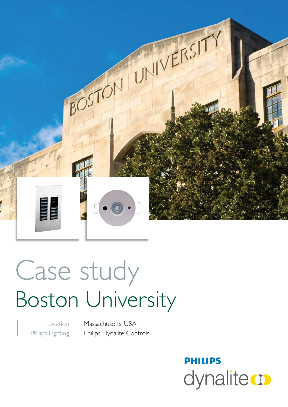

# Case study Boston University

Location Philips Lighting

Massachusetts, USA Philips Dynalite Controls

# **PHILIPS** dynalite **o**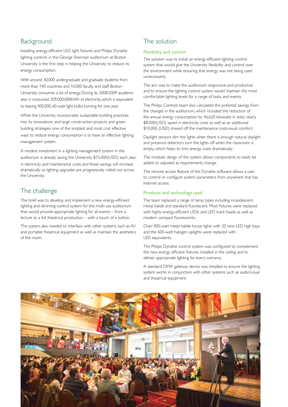## Background

Installing energy-efficient LED light fixtures and Philips Dynalite lighting controls in the George Sherman auditorium at Boston University is the first step in helping the University to reduce its energy consumption.

With around 30,000 undergraduate and graduate students from more than 140 countries and 10,000 faculty and staff, Boston University consumes a lot of energy. During its 2008/2009 academic year it consumed 209,000,000kWh of electricity, which is equivalent to leaving 400,000 60-watt light bulbs burning for one year.

While the University incorporates sustainable building practices into its renovations and large construction projects and green building strategies, one of the simplest and most cost effective ways to reduce energy consumption is to have an effective lighting management system.

A modest investment in a lighting management system in the auditorium is already saving the University \$15,000(USD) each year in electricity and maintenance costs and these savings will increase dramatically as lighting upgrades are progressively rolled out across the University.

# The challenge

The brief was to develop and implement a new energy-efficient lighting and dimming control system for the multi-use auditorium that would provide appropriate lighting for all events – from a lecture to a full theatrical production – with a touch of a button.

The system also needed to interface with other systems such as AV and portable theatrical equipment as well as maintain the aesthetics of the room.

# The solution

#### Flexibility and control

The solution was to install an energy-efficient lighting control system that would give the University flexibility and control over the environment while ensuring that energy was not being used unnecessarily.

The aim was to make the auditorium responsive and productive and to ensure the lighting control system would maintain the most comfortable lighting levels for a range of tasks and events.

The Philips Controls team also calculated the potential savings from the changes in the auditorium, which included the reduction of the annual energy consumption by 46,620 kilowatts in total, nearly \$8,000(USD) saved in electricity costs as well as an additional \$10,000 (USD) shaved off the maintenance costs.visual comfort.

Daylight sensors dim the lights when there is enough natural daylight and presence detectors turn the lights off when the classroom is empty, which helps to trim energy costs dramatically.

The modular design of the system allows components to easily be added or adjusted as requirements change.

The remote access feature of the Dynalite software allows a user to control or configure system parameters from anywhere that has Internet access.

#### Products and technology used

The team replaced a range of lamp types including incandescent, metal halide and standard fluorescent. Most fixtures were replaced with highly energy-efficient LEDs and LED track heads as well as modern compact fluorescents.

Over 400-watt metal halide house lights with 20 new LED high bays and the 600-watt halogen uplights were replaced with LED equivalents.

The Philips Dynalite control system was configured to complement the new energy efficient fixtures installed in the ceiling and to deliver appropriate lighting for every scenario.

A standard DMX gateway device was installed to ensure the lighting system works in conjunction with other systems such as audio/visual and theatrical equipment.

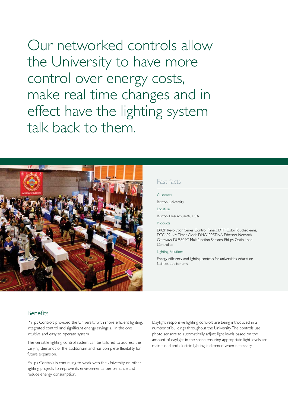Our networked controls allow the University to have more control over energy costs, make real time changes and in effect have the lighting system talk back to them.



### Fast facts

#### Customer

Boston University

Location

Boston, Massachusetts, USA

#### Products

DR2P Revolution Series Control Panels, DTP Color Touchscreens, DTC602-NA Timer Clock, DNG100BT-NA Ethernet Network Gateways, DUS804C Multifunction Sensors, Philips Optio Load **Controller.** 

#### Lighting Solutions

Energy efficiency and lighting controls for universities, education facilities, auditoriums.

#### Benefits

Philips Controls provided the University with more efficient lighting, integrated control and significant energy savings all in the one intuitive and easy to operate system.

The versatile lighting control system can be tailored to address the varying demands of the auditorium and has complete flexibility for future expansion.

Philips Controls is continuing to work with the University on other lighting projects to improve its environmental performance and reduce energy consumption.

Daylight responsive lighting controls are being introduced in a number of buildings throughout the University. The controls use photo sensors to automatically adjust light levels based on the amount of daylight in the space ensuring appropriate light levels are maintained and electric lighting is dimmed when necessary.